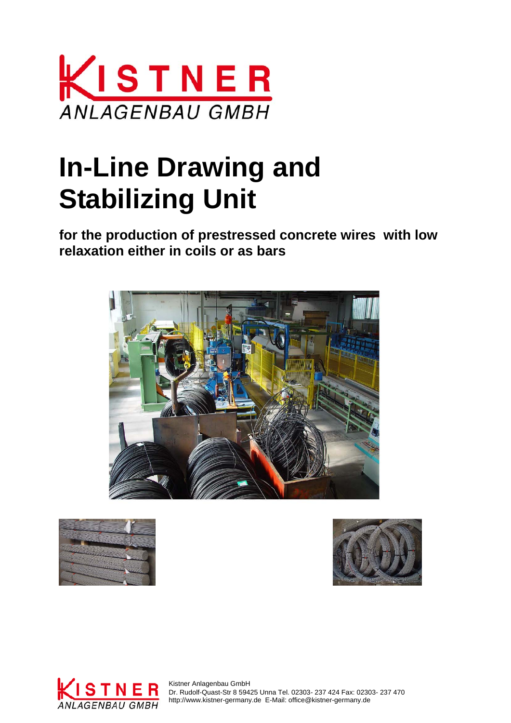

# **In-Line Drawing and Stabilizing Unit**

**for the production of prestressed concrete wires with low relaxation either in coils or as bars** 









STNER Kistner Anlagenbau GmbH Dr. Rudolf-Quast-Str 8 59425 Unna Tel. 02303- 237 424 Fax: 02303- 237 470 ANLAGENBAU GMBH http://www.kistner-germany.de E-Mail: office@kistner-germany.de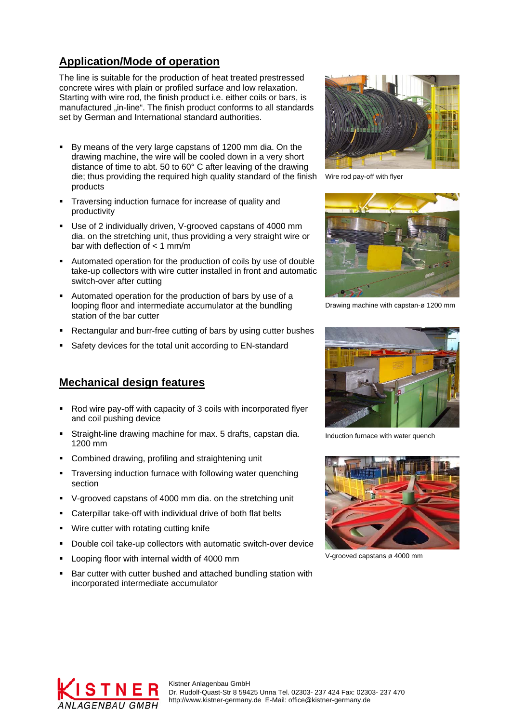### **Application/Mode of operation**

The line is suitable for the production of heat treated prestressed concrete wires with plain or profiled surface and low relaxation. Starting with wire rod, the finish product i.e. either coils or bars, is manufactured "in-line". The finish product conforms to all standards set by German and International standard authorities.

- By means of the very large capstans of 1200 mm dia. On the drawing machine, the wire will be cooled down in a very short distance of time to abt. 50 to 60° C after leaving of the drawing die; thus providing the required high quality standard of the finish products
- Traversing induction furnace for increase of quality and productivity
- Use of 2 individually driven, V-grooved capstans of 4000 mm dia. on the stretching unit, thus providing a very straight wire or bar with deflection of  $<$  1 mm/m
- Automated operation for the production of coils by use of double take-up collectors with wire cutter installed in front and automatic switch-over after cutting
- Automated operation for the production of bars by use of a looping floor and intermediate accumulator at the bundling station of the bar cutter
- Rectangular and burr-free cutting of bars by using cutter bushes
- Safety devices for the total unit according to EN-standard

#### **Mechanical design features**

- Rod wire pay-off with capacity of 3 coils with incorporated flyer and coil pushing device
- Straight-line drawing machine for max. 5 drafts, capstan dia. 1200 mm
- **Combined drawing, profiling and straightening unit**
- Traversing induction furnace with following water quenching section
- V-grooved capstans of 4000 mm dia. on the stretching unit
- Caterpillar take-off with individual drive of both flat belts
- Wire cutter with rotating cutting knife
- Double coil take-up collectors with automatic switch-over device
- Looping floor with internal width of 4000 mm
- Bar cutter with cutter bushed and attached bundling station with incorporated intermediate accumulator



Wire rod pay-off with flyer



Drawing machine with capstan-ø 1200 mm



Induction furnace with water quench



V-grooved capstans ø 4000 mm